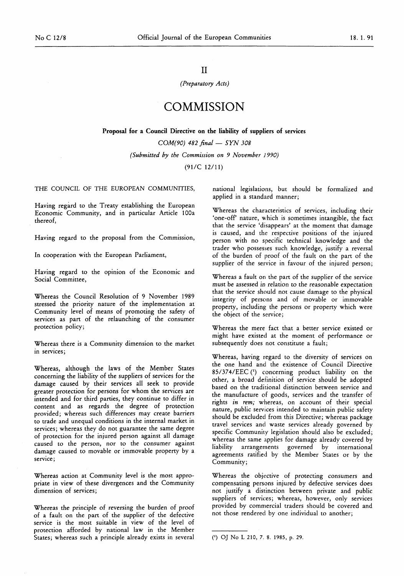# II

#### *(Preparatory Acts)*

# COMMISSION

Proposal for a Council Directive on the liability of suppliers of services

*COM(90) 482 final — SYN 308 (Submitted by the Commission on 9 November 1990)* 

(91/C 12/11)

THE COUNCIL OF THE EUROPEAN COMMUNITIES,

Having regard to the Treaty establishing the European Economic Community, and in particular Article 100a thereof,

Having regard to the proposal from the Commission,

In cooperation with the European Parliament,

Having regard to the opinion of the Economic and Social Committee,

Whereas the Council Resolution of 9 November 1989 stressed the priority nature of the implementation at Community level of means of promoting the safety of services as part of the relaunching of the consumer protection policy;

Whereas there is a Community dimension to the market in services;

Whereas, although the laws of the Member States concerning the liability of the suppliers of services for the damage caused by their services all seek to provide greater protection for persons for whom the services are intended and for third parties, they continue to differ in content and as regards the degree of protection provided; whereas such differences may create barriers to trade and unequal conditions in the internal market in services; whereas they do not guarantee the same degree of protection for the injured person against all damage caused to the person, nor to the consumer against damage caused to movable or immovable property by a service;

Whereas action at Community level is the most appropriate in view of these divergences and the Community dimension of services;

Whereas the principle of reversing the burden of proof of a fault on the part of the supplier of the defective service is the most suitable in view of the level of protection afforded by national law in the Member States; whereas such a principle already exists in several national legislations, but should be formalized and applied in a standard manner;

Whereas the characteristics of services, including their 'one-off nature, which is sometimes intangible, the fact that the service 'disappears' at the moment that damage is caused, and the respective positions of the injured person with no specific technical knowledge and the trader who possesses such knowledge, justify a reversal of the burden of proof of the fault on the part of the supplier of the service in favour of the injured person;

Whereas a fault on the part of the supplier of the service must be assessed in relation to the reasonable expectation that the service should not cause damage to the physical integrity of persons and of movable or immovable property, including the persons or property which were the object of the service;

Whereas the mere fact that a better service existed or might have existed at the moment of performance or subsequently does not constitute a fault;

Whereas, having regard to the diversity of services on the one hand and the existence of Council Directive 85/374/EEC (\*) concerning product liability on the other, a broad definition of service should be adopted based on the traditional distinction between service and the manufacture of goods, services and the transfer of rights *in rem;* whereas, on account of their special nature, public services intended to maintain public safety should be excluded from this Directive; whereas package travel services and waste services already governed by specific Community legislation should also be excluded; whereas the same applies for damage already covered by liability arrangements governed by international agreements ratified by the Member States or by the Community;

Whereas the objective of protecting consumers and compensating persons injured by defective services does not justify a distinction between private and public suppliers of services; whereas, however, only services provided by commercial traders should be covered and not those rendered by one individual to another;

<sup>(&#</sup>x27;) OJ No L 210, 7. 8. 1985, p. 29.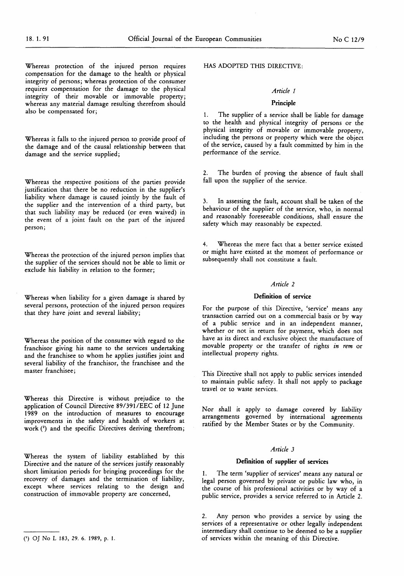Whereas protection of the injured person requires compensation for the damage to the health or physical integrity of persons; whereas protection of the consumer requires compensation for the damage to the physical integrity of their movable or immovable property; whereas any material damage resulting therefrom should also be compensated for;

Whereas it falls to the injured person to provide proof of the damage and of the causal relationship between that damage and the service supplied;

Whereas the respective positions of the parties provide justification that there be no reduction in the supplier's liability where damage is caused jointly by the fault of the supplier and the intervention of a third party, but that such liability may be reduced (or even waived) in the event of a joint fault on the part of the injured person;

Whereas the protection of the injured person implies that the supplier of the services should not be able to limit or exclude his liability in relation to the former;

Whereas when liability for a given damage is shared by several persons, protection of the injured person requires that they have joint and several liability;

Whereas the position of the consumer with regard to the franchisor giving his name to the services undertaking and the franchisee to whom he applies justifies joint and several liability of the franchisor, the franchisee and the master franchisee;

Whereas this Directive is without prejudice to the application of Council Directive 89/391 /EEC of 12 June 1989 on the introduction of measures to encourage improvements in the safety and health of workers at work (2) and the specific Directives deriving therefrom;

Whereas the system of liability established by this Directive and the nature of the services justify reasonably short limitation periods for bringing proceedings for the recovery of damages and the termination of liability, except where services relating to the design and construction of immovable property are concerned,

HAS ADOPTED THIS DIRECTIVE:

## *Article 1*

## Principle

1. The supplier of a service shall be liable for damage to the health and physical integrity of persons or the physical integrity of movable or immovable property, including the persons or property which were the object of the service, caused by a fault committed by him in the performance of the service.

The burden of proving the absence of fault shall fall upon the supplier of the service.

In assessing the fault, account shall be taken of the behaviour of the supplier of the service, who, in normal and reasonably foreseeable conditions, shall ensure the safety which may reasonably be expected.

Whereas the mere fact that a better service existed or might have existed at the moment of performance or subsequently shall not constitute a fault.

#### *Article 2*

#### Definition of service

For the purpose of this Directive, 'service' means any transaction carried out on a commercial basis or by way of a public service and in an independent manner, whether or not in return for payment, which does not have as its direct and exclusive object the manufacture of movable property or the transfer of rights *in rem* or intellectual property rights.

This Directive shall not apply to public services intended to maintain public safety. It shall not apply to package travel or to waste services.

Nor shall it apply to damage covered by liability arrangements governed by international agreements ratified by the Member States or by the Community.

# *Article 3*

## Definition of supplier of services

1. The term 'supplier of services' means any natural or legal person governed by private or public law who, in the course of his professional activities or by way of a public service, provides a service referred to in Article 2.

2. Any person who provides a service by using the services of a representative or other legally independent intermediary shall continue to be deemed to be a supplier of services within the meaning of this Directive.

O OJ No L 183, 29. 6. 1989, p. 1.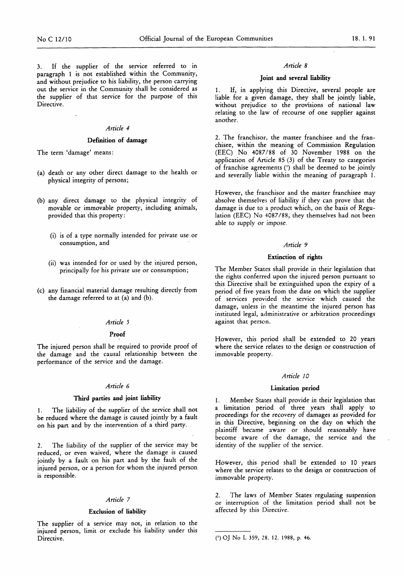3. If the supplier of the service referred to in paragraph 1 is not established within the Community, and without prejudice to his liability, the person carrying out the service in the Community shall be considered as the supplier of that service for the purpose of this Directive.

#### *Article 4*

#### Definition of damage

The term 'damage' means:

- (a) death or any other direct damage to the health or physical integrity of persons;
- (b) any direct damage to the physical integrity of movable or immovable property, including animals, provided that this property:
	- (i) is of a type normally intended for private use or consumption, and
	- (ii) was intended for or used by the injured person, principally for his private use or consumption;
- (c) any financial material damage resulting directly from the damage referred to at (a) and (b).

# *Article* 5

#### Proof

The injured person shall be required to provide proof of the damage and the causal relationship between the performance of the service and the damage.

## *Article 6*

#### Third parties and joint liability

1. The liability of the supplier of the service shall not be reduced where the damage is caused jointly by a fault on his part and by the intervention of a third party.

2. The liability of the supplier of the service may be reduced, or even waived, where the damage is caused jointly by a fault on his part and by the fault of the injured person, or a person for whom the injured person is responsible.

#### *Article 7*

# Exclusion of liability

The supplier of a service may not, in relation to the injured person, limit or exclude his liability under this Directive.

#### *Article 8*

#### Joint and several liability

If, in applying this Directive, several people are liable for a given damage, they shall be jointly liable, without prejudice to the provisions of national law relating to the law of recourse of one supplier against another.

2. The franchisor, the master franchisee and the franchisee, within the meaning of Commission Regulation (EEC) No 4087/88 of 30 November 1988 on the application of Article 85 (3) of the Treaty to categories of franchise agreements (\*) shall be deemed to be jointly and severally liable within the meaning of paragraph 1.

However, the franchisor and the master franchisee may absolve themselves of liability if they can prove that the damage is due to a product which, on the basis of Regulation (EEC) No 4087/88, they themselves had not been able to supply or impose.

#### *Article 9*

# Extinction of rights

The Member States shall provide in their legislation that the rights conferred upon the injured person pursuant to this Directive shall be extinguished upon the expiry of a period of five years from the date on which the supplier of services provided the service which caused the damage, unless in the meantime the injured person has instituted legal, administrative or arbitration proceedings against that person.

However, this period shall be extended to 20 years where the service relates to the design or construction of immovable property.

#### *Article 10*

#### Limitation period

1. Member States shall provide in their legislation that a limitation period of three years shall apply to proceedings for the recovery of damages as provided for in this Directive, beginning on the day on which the plaintiff became aware or should reasonably have become aware of the damage, the service and the identity of the supplier of the service.

However, this period shall be extended to 10 years where the service relates to the design or construction of immovable property.

2. The laws of Member States regulating suspension or interruption of the limitation period shall not be affected by this Directive.

<sup>0)</sup> OJ No L 359, 28. 12. 1988, p. 46.